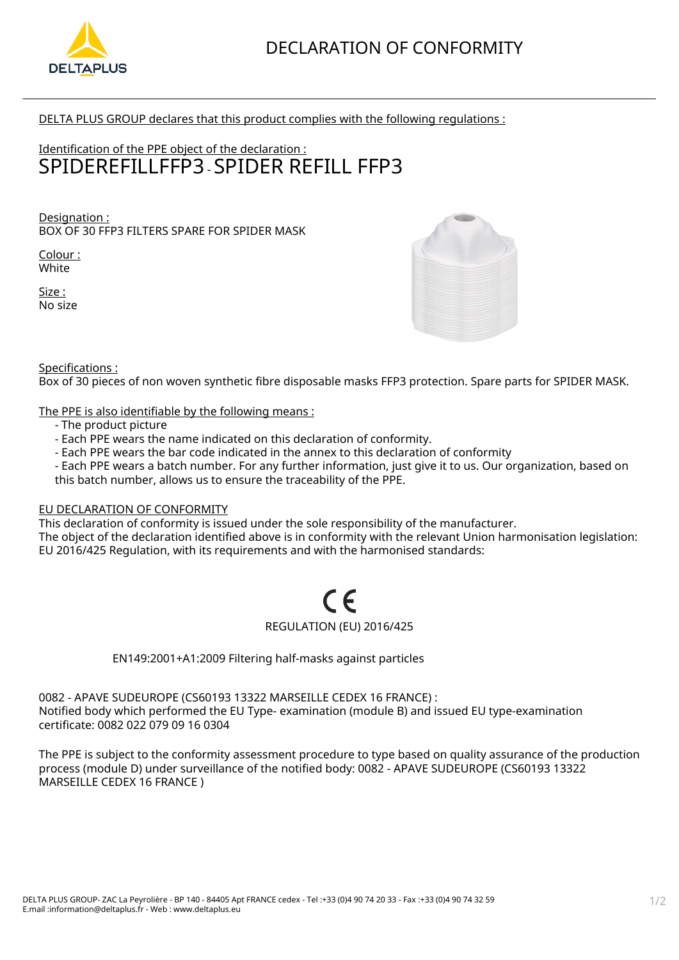

DELTA PLUS GROUP declares that this product complies with the following regulations :

# Identification of the PPE object of the declaration : SPIDEREFILLFFP3 - SPIDER REFILL FFP3

Designation : BOX OF 30 FFP3 FILTERS SPARE FOR SPIDER MASK

Colour : White

Size : No size



Specifications :

Box of 30 pieces of non woven synthetic fibre disposable masks FFP3 protection. Spare parts for SPIDER MASK.

The PPE is also identifiable by the following means :

- The product picture
- Each PPE wears the name indicated on this declaration of conformity.
- Each PPE wears the bar code indicated in the annex to this declaration of conformity
- Each PPE wears a batch number. For any further information, just give it to us. Our organization, based on this batch number, allows us to ensure the traceability of the PPE.

### EU DECLARATION OF CONFORMITY

This declaration of conformity is issued under the sole responsibility of the manufacturer.

The object of the declaration identified above is in conformity with the relevant Union harmonisation legislation: EU 2016/425 Regulation, with its requirements and with the harmonised standards:

# REGULATION (EU) 2016/425

EN149:2001+A1:2009 Filtering half-masks against particles

0082 - APAVE SUDEUROPE (CS60193 13322 MARSEILLE CEDEX 16 FRANCE) : Notified body which performed the EU Type- examination (module B) and issued EU type-examination certificate: 0082 022 079 09 16 0304

The PPE is subject to the conformity assessment procedure to type based on quality assurance of the production process (module D) under surveillance of the notified body: 0082 - APAVE SUDEUROPE (CS60193 13322 MARSEILLE CEDEX 16 FRANCE )